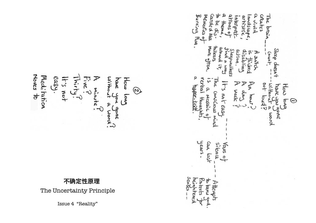MEMORES creates The Carded Burning Man andscap Ingrani arhistric uiviu. **OSWOL bai** More often balkers Step deesn' Mound action. por deputalkess alisabline Count suitch  $\ddot{x}$ i<br>Cham **KRC** Ω  $\sum_{i=1}^{n}$  $100$ withou have you How **HART-**Week alou Conscious mot eas Ioug? MOSQIC O Hough  $\sqrt{2}$  $\odot$ Tex  $\ddot{z}$  $\Omega$ ane mond Mind years. COM sikonce Vaus o last **Sews** hçie  $\vec{r}$  $\overline{\sigma}$ Attempts XCS ... melio **RNA** 

Moves to Meditation easy. Five How Without have ton s.t  $\overline{h}$ minuta.  $\mathcal{O}$ Apt ۔<br>هما R Conce E prom

# 不䉯定性原理

The Uncertainty Principle

Issue 4 "Reality"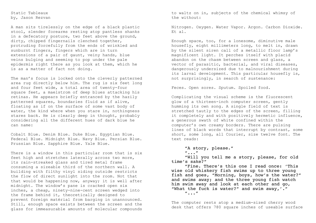Static Tableaux by, Jason Rezvan

A man sits tirelessly on the edge of a black plastic stool, slender forearms resting atop pantless shanks in a defecatory posture, two feet above the ground, dirty, chipped fingernails clenched together, protruding forcefully from the ends of wrinkled and sunburnt fingers, fingers which are in turn extensions of a pair of gaunt, veiny hands, blue veins bulging and seeming to pop under the pale epidermis right there as you look at them, which he is as a matter of fact not doing.

The man's focus is locked onto the cleverly patterned area rug directly below him. The rug is six feet long and four feet wide, a total area of twenty-four square feet, a maelstrom of deep blues attacking his retinas. He appears briefly entranced by the hazily patterned squares, boundaries fluid as if alive, floating as if on the surface of some vast body of water, the kind where when you stare in, nothingness stares back. He is clearly deep in thought, probably considering all the different hues of dark blue he can name:

Cobalt Blue. Denim Blue. Duke Blue. Egyptian Blue. Federal Blue. Midnight Blue. Navy Blue. Persian Blue. Prussian Blue. Sapphire Blue. Yale Blue.

There is a window in this particular room that is six feet high and stretches laterally across two more, its rain-streaked glass and tired metal frame consuming a sizeable third of the northern wall. A building with filthy vinyl siding outside restricts the flow of direct sunlight into the room. Not that that would be happening now, anyway; it is well after midnight. The window's pane is cracked open six inches, a cheap, ninety-nine-cent screen wedged into the frame behind it, theoretically designed to prevent foreign matérial from barging in unannounced. Still, enough space exists between the screen and the glass for immeasurable amounts of molecular compounds

to waltz on in, subjects of the chemical whimsy of the without:

Nitrogen. Oxygen. Water Vapor. Argon. Carbon Dioxide. Et al.

Enough space, too, for a lonesome, diminutive male housefly, eight millimeters long, to melt in, drawn by the silent siren call of a metallic floor lamp's magnificent light. It perches itself with placid abandon on the chasm between screen and glass, a vector of parasitic, bacterial, and viral diseases, dangerously undersized due to malnourishment during its larval development. This particular housefly is, not surprisingly, in search of sustenance:

Feces. Open sores. Sputum. Spoiled food.

Complicating the visual scheme is the fluorescent glow of a thirteen-inch computer screen, gently humming its own song. A single field of text is stretched tautly to the edges of the screen, filling it completely and with positively hermetic influence, a generous swath of white confined within the computer's own creamy borders. There are pulsing lines of black words that interrupt by contrast, some short, some long, all Courier, size twelve font. The text reads:

"A story, please." "..." "Will you tell me a story, please, for old time's sake?" "Fine. There's this one I read once: 'This wise old whiskery fish swims up to three young fish and goes, "Morning, boys, how's the water?"

him swim away and look at each other and go, "What the fuck is water?" and swim away,'." "..."

and swims away; and the three young fish watch

The computer rests atop a medium-sized cherry wood desk that offers 780 square inches of useable surface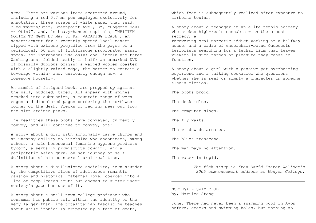area. There are various items scattered around, including a red 0.7 mm pen employed exclusively for annotation; three scraps of white paper that read, "Red Tavern/Star, Greenpoint Ave., G", "Doggone Soul -- Otis?", and, in heavy-handed capitals, "WRITTEN NOTICE TO MGMT BY MAY 31 RE: VACATING LEASE"; an advertisement for a recently-opened local tavern ripped with extreme prejudice from the pages of a periodical; 50 mcg of fluticasone propionate, nasal spray, for intranasal use only; one Lincoln and three Washingtons, folded neatly in half; an unmarked DVD of possibly dubious origin; a warped wooden coaster with a slightly raised edge, the better to contain a beverage within; and, curiously enough now, a lonesome housefly.

An armful of fatigued books are propped up against the wall, huddled, tired. All appear with spines cracked into submission, a mountain range of worn edges and discolored pages bordering the northwest corner of the desk. Flecks of red ink peer out from the dirt-stained peaks.

The realities these books have conveyed, currently convey, and will continue to convey, are:

A story about a girl with abnormally large thumbs and an uncanny ability to hitchhike who encounters, among others, a male homosexual feminine hygiene products tycoon, a sexually promiscuous cowgirl, and a peripatetic Asian guru, on her journey of selfdefinition within countercultural realities.

A story about a disillusioned socialite, torn asunder by the competitive fires of adulterous romantic passion and historical maternal love, coerced into a life of complicated truth but doomed to suffer under society's gaze because of it.

A story about a small town college professor who consumes his public self within the identity of the very larger-than-life totalitarian fascist he teaches about while ironically crippled by a fear of death,

which fear is subsequently realized after exposure to airborne toxins.

A story about a teenager at an elite tennis academy who smokes high-resin cannabis with the utmost secrecy, a

recovering oral narcotic addict working at a halfway house, and a cadre of wheelchair-bound Québécois terrorists searching for a lethal film that leaves viewers in such throes of pleasure they cease to function.

A story about a girl with a passive yet overbearing boyfriend and a talking cockatiel who questions whether she is real or simply a character in someone else's fiction.

The books brood.

The desk idles.

The computer sings.

The fly waits.

The window demarcates.

The blues transcend.

The man pays no attention.

The water is tepid.

*The fish story is from David Foster Wallace's 2005 commencement address at Kenyon College.*

NORTHGATE SWIM CLUB by, Marilee Stang

June. There had never been a swimming pool in Avon before, creeks and swimming holes, but nothing so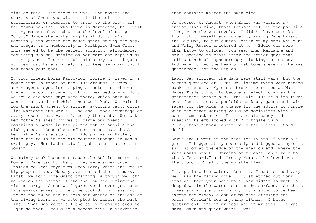fine as this. Yet there it was. The movers and shakers of Avon, who didn't till the soil for strawberries or tomatoes to truck to the city, all the "suburbanites," who lived in Northgate, had built it. My mother elevated us to the level of being "cool." Since she worked nights at St. John's Hospital, and wanted the house quiet during the day, she bought us a membership in Northgate Swim Club. This seemed to be the perfect solution; affordable, requiring minimal driving on her part and kept us all in one place. The moral of this story, as all good stories must have a moral, is to keep swimming until you reach your goal.

My good friend Doris Karpowicz, Dorrie K, lived in a house just in front of the Club grounds, a very advantageous spot for keeping a lookout on who was there from our vantage point out her bedroom window. We could see what quys were there, which ones we wanted to avoid and which ones we liked. We waited for the right moment to arrive, avoiding catty girls like Marianne and Merle. She and I took advantage of every lesson that was offered by the club. We took her mother's steak knives to carve our pseudo boyfriend's names in the picnic tables outside the club gates. Once she confided in me that the A. in her father's name stood for Adolph, as in Hitler, since the folks in the old country thought he was a swell guy. Her father didn't publicize that bit of gossip.

We mainly took lessons because the Bellissimo twins, Don and Dave taught them. They were super cute Italian college guys from Avon Lake, where the really hip people lived. Nobody ever called them farmers. First, we took Life Guard training, although we both walked on the bottom of the shallow end during the victim carry. Guess we figured we'd never get to be Life Guards anyway. Then, we took diving lessons. One of the twins had to hold our waists at the end of the diving board as we attempted to master the back dive. That was worth all the belly flops we endured. I got so that I could do a decent dive, a jackknife,

just couldn't master the swan dive.

Of course, by August, when Eddie was wearing my junior class ring, those lessons fell by the poolside along with the wet towels. I didn't have to make a fool out of myself any longer by asking Dave Bryant, the Big Man, to put suntan lotion on my back while he and Wally Russel snickered at me. Eddie was more than happy to oblige. You see, when Marianne and Merle decided to chase after the senior guys that left a bunch of sophomore guys looking for dates. And Dave joined the heap of wet towels even if he was quarterback for the Eagles.

Labor Day arrived. The days were still warm, but the nights grew cooler. The Bellissimo twins were headed back to school. My older brother enrolled at Max Hayes Trade School to become an electrician as his grandfather before him. The Swim Club held its first ever festivities, a poolside cookout, games and swim races for the kids; a chance for the adults to mingle with the other working would-be socialites with a beer from back home. All the stale candy and sweatshirts emblazoned with "Northgate Swim Club ,"that nobody bought, were the prizes. Good deal!

Doris and I went in the race for 15 and 16 year old girls. I tugged at my nose clip and tugged at my suit as I stood at the edge of the shallow end, where the race would start. Strains of "Please Don't Talk to the Life Guard," and "Pretty Woman," bellowed over the crowd. Finally the whistle blew.

I leapt into the water. One dive I had learned very well was the racing dive. You stretched out your arms and kept your head up so you didn't so much go deep down in the water as skim the surface. So there I was swimming and swimming, not a sound to be heard except the slosh, slosh of my arms stroking the water. Couldn't see anything either. I hated getting chlorine in my nose and in my eyes. It was dark, dark and quiet where I was.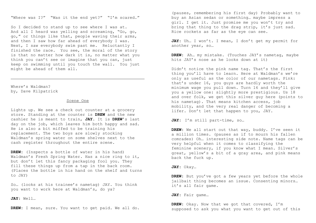"Where was I?" "Was it the end yet?" "I'm scared."

So I decided to stand up to see where I was at. And all I heard was yelling and screaming, "Go, go, go," or things like that, people waving their arms, and then I saw how far ahead of everybody I was. Next, I saw everybody swim past me. Reluctantly I finished the race. You see, the moral of the story is that no matter how dark it is, no matter what you think you can't see or imagine that you can, just keep on swimming until you touch the wall. You just might be ahead of them all.

Where's Waldman? by, Dave Kilpatrick

### Scene One

Lights up. We see a check out counter at a grocery store. Standing at the counter is **DREW** and the new cashier he is meant to train, **JAY**. It is **DREW**'s last day on the job, which leaves him both happy and sad. He is also a bit miffed to be training his replacement. The two boys are slowly stocking Waldman's spring water on some shelves next to the cash register throughout the entire scene.

**DREW:** (Inspects a bottle of water in his hand) Waldman's Fresh Spring Water. Has a nice ring to it, but don't let this fancy packaging fool you. They fill these things up from a tap in the back room. (Places the bottle in his hand on the shelf and turns to JAY)

So… (looks at his trainee's nametag) JAY. You think you want to work here at Waldman's, do ya?

## **JAY:** Well…

**DREW:** I mean, sure. You want to get paid. We all do.

(pauses, remembering his first day) Probably want to buy an Asian sedan or something… maybe impress a girl. I get it. Just promise me you won't try and bring that thing to the drag strip, it's just sad. Rice rockets as far as the eye can see.

JAY: Uh... I won't. I mean, I don't get my permit for another year, so…

**DREW:** Ah… my mistake. (Touches JAY's nametag, maybe hits JAY's nose as he looks down at it)

Didn't notice the pink name tag. That's the first thing you'll have to learn. Here at Waldman's we're only as useful as the color of our nametags. Pink: that's under 16, you guys are hardly worth the minimum wage you pull down. Turn 16 and they'll give you a yellow one: slightly more prestigious. Us 18 and over folk, we get this silver guy here (points to his nametag). That means kitchen access, job mobility, and the very real danger of becoming a lifer. Don't let that happen to you, JAY.

**JAY:** I'm still part-time, so…

**DREW:** We all start out that way, buddy. I've seen it a million times. (pauses as if to mourn his fallen comrades) Oh… interesting side note. Name tags can be very helpful when it comes to classifying the feminine scenery, if you know what I mean. Silver's great, yellow's a bit of a gray area, and pink means back the fuck up.

# **JAY:** Okay…

**DREW:** But you've got a few years yet before the whole jailbait thing becomes an issue. Consenting minors… it's all fair game.

#### **JAY:** Fair game…

**DREW:** Okay. Now that we got that covered, I'm supposed to ask you what you want to get out of this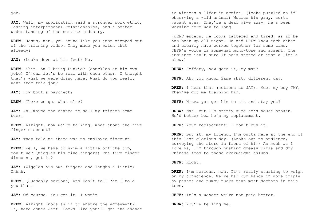job.

**JAY:** Well, my application said a stronger work ethic, lasting interpersonal relationships, and a better understanding of the service industry.

**DREW:** Jesus, man… you sound like you just stepped out of the training video. They made you watch that already?

**JAY:** (Looks down at his feet) No.

**DREW:** Shit. Am I being Punk'd? (chuckles at his own joke) C'mon… let's be real with each other, I thought that's what we were doing here. What do you really want from this job?

JAY: How bout a paycheck?

**DREW:** There we go… what else?

**JAY:** Ah… maybe the chance to sell my friends some beer.

**DREW:** Alright, now we're talking. What about the five finger discount?

**JAY:** They told me there was no employee discount.

**DREW:** Well, we have to skim a little off the top, don't we? (Wiggles his five fingers) The five finger discount, get it?

**JAY:** (Wiggles his own fingers and laughs a little) Ohhhh.

**DREW:** (Suddenly serious) And Don't tell 'em I told you that.

JAY: Of course. You got it... I won't

**DREW:** Alright (nods as if to ensure the agreement). Oh, here comes Jeff. Looks like you'll get the chance

to witness a lifer in action. (looks puzzled as if observing a wild animal) Notice his gray, sorta vacant eyes. They're a dead give away, he's been working here way to long.

(JEFF enters. He looks tattered and tired, as if he has been up all night. He and DREW know each other and clearly have worked together for some time. JEFF's voice is somewhat mono-tone and absent. The audience isn't sure if he's stoned or just a little slow.)

**DREW:** Jeffery, how goes it, my man?

**JEFF:** Ah, you know… Same shit, different day.

**DREW:** I hear that (motions to JAY). Meet my boy JAY, They've got me training him.

**JEFF:** Nice… you get him to sit and stay yet?

**DREW:** Nah… but I'm pretty sure he's house broken. He'd better be… he's my replacement.

**JEFF:** Your replacement? I don't buy it.

**DREW:** Buy it, my friend… I'm outta here at the end of this last glorious day. (Looks out to audience, surveying the store in front of him) As much as I love ya, I'm through pushing greasy pizza and dry Chinese food to these overweight shlubs.

**JEFF:** Right…

**DREW:** I'm serious, man. It's really starting to weigh on my conscience. We've had our hands in more triple by-passes and tummy tucks than most doctors in this town.

JEFF: It's a wonder we're not paid better.

**DREW:** You're telling me.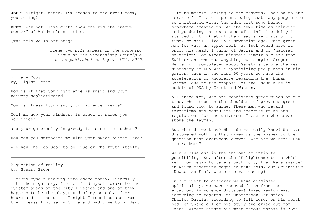JEFF: Alright, gents. I'm headed to the break room, you coming?

**DREW:** Why not. I've gotta show the kid the "nerve center" of Waldman's sometime.

(The trio walks off stage.)

*Scene two will appear in the upcoming issue of The Uncertainty Principle to be published on August 13 th, 2010.*

Who are You? by, Tigist Defaru

How is it that your ignorance is smart and your naivety sophisticated

Your softness tough and your patience fierce?

Tell me how your kindness is cruel it makes you sacrifice;

and your generosity is greedy it is not for others?

How can you suffocate me with your sweet bitter love?

Are you The Too Good to be True or The Truth itself?

A question of reality. by, Stuart Brown

I found myself staring into space today, literally into the night sky. I often find myself drawn to the quieter areas of the city I reside and one of them happens to be the playground of my school, after hours and in the dark. Tonight I found solace from the incessant noise in China and had time to ponder.

I found myself looking to the heavens, looking to our 'creator'. This omnipotent being that many people are so infatuated with. The idea that some being, somewhere created us. At the same time as thinking and pondering the existence of a infinite deity I started to think about the great scientists of our time. We still live in a Newtonian age. That great man for whom an apple fell, as luck would have it onto, his head. I think of Darwin and of 'natural selection', of Albert Einstein simply a clerk from Switzerland who was anything but simple, Gregor Mendel who postulated about Genetics before the real discovery of DNA while hybridising pea plants in his garden, then in the last 60 years we have the acceleration of knowledge regarding the 'Human Genome' due to the proposal of the 'double-helix model' of DNA by Crick and Watson.

All these men, who are considered great minds of our time, who stood on the shoulders of previous greats and found room to shine. These men who regard terrafirma and postulate and theorise rules and regulations for the universe. These men who tower above the layman.

But what do we know? What do we really know? We have discovered nothing that gives us the answer to the question that everybody craves. Why are we here? How are we here?

We are clueless in the shadows of infinite possibility. So, after the 'Enlightenment' in which religion began to take a back foot, the 'Renaissance' in which modernity began to take hold, our Scientific 'Newtonian Era', where are we heading?

In our quest to discover we have dismissed spirituality, we have removed faith from the equation. As science dictates! Isaac Newton was, according to reports, an unorthodox Christian. Charles Darwin, according to folk lore, on his death bed renounced all of his study and cried out for Jesus. Albert Einstein's most famous phrase is 'God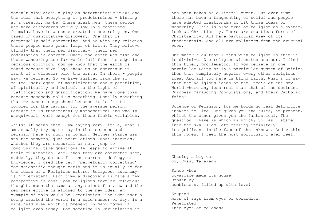doesn't play dice' a play on deterministic views and the idea that everything is predetermined – hinting at a creator, maybe. These great men, these people who have discovered worldly law in a contained formula, have in a sense created a new religion. One based on quantitative discovery. One that is perpetually self correcting. And as with any religion these people make giant leaps of faith. They believe blindly that their new discovery, their new postulation is correct. Once, the earth was flat and those wandering too far would fall from the edge into perilous oblivion, now we know that the earth is round because MTVs logo shows us an astronaut in front of a circular orb, the earth. In short - people say, we believe. So we have shifted from the so called 'dark ages' of mystification and superstition, of spirituality and belief, to the light of qualification and quantification. We have done this because somebody told us something. Usually something that we cannot comprehend because it is far to complex for the layman, for the average person. Because it is fundamentally mathematical and wholly unequivocal, well except for those fickle variables.

Whilst it seems that I am saying very little, what I am actually trying to say is that science and religion have so much in common. Neither stance has any the answers, just postulations. Most theories, whether they are mercurial or not, jump to conclusions, take questionable leaps to arrive at their culmination. And, then they are corrected when, suddenly, they do not fit the current ideology or knowledge. I used the term 'perpetually correcting' for scientific thought early and it is equally so for the ideas of a Religious nature. Religious autonomy is non existent. Each time a discovery is made a new perspective is cast upon religious text or religious thought, much the same as any scientific view and the new perspective is aligned to the new idea. An example of this would be Creationism. The idea that a being created the world in a said number of days is a wide held view which is present in many forms of religion even today. For sometime in Christianity it

has been taken as a literal event. But over time there has been a fragmenting of belief and people have adapted creationism to fit those ideas of modernity. This is also true of religion as a system, look at Christianity. There are countless forms of Christianity. All have particular view of its fundamentals. And all are splinters from the original wood.

One major flaw that I find with religion is that it is divisive. One religion alienates another. I find this hugely problematic. If you believe in one particular Deity or in a particular system of Deities then this completely negates every other religious idea. And all you have is blind faith. What's to say that the Religious ideas of the Inca's of the New World where any less real than that of the dominant European marauding Conquistadors, and their Catholic faith?

Science or Religion, for me holds no real definitive answers to life. One gives you the rules, at present, whilst the other gives you the fantastical. The question I have is which is which? So, as I stare into the sky, I am left feeling infinitely insignificant in the face of the unknown. And within this moment I feel the most spiritual I ever feel.

Chasing a big cat by, Eyasu Tarekegn

Since when cowardice made its house Broken by humbleness, filled up with love?

Erupted mass of rays from eyes of cowardice, Penetrated Into eyes of boldness.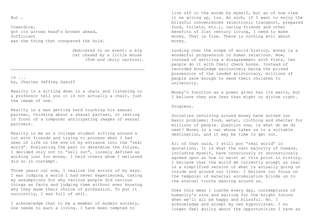But …

Cowardice, got its arrows head's broken ahead, Sufficient was the thing that conquered the bold.

> *Dedicated to an event: a big cat chased by a little mouse (Tom and Jerry cartoon).*

is ... by, Charles Jeffrey Danoff

Reality is a sitting down in a chair and listening to a professor tell you it is not actually a chair, just the image of one.

Reality is a man getting hard touching his sexual partner, thinking about a sexual partner, or resting in front of a computer anticipating images of sexual partners.

Reality is me as a college student sitting around a lot with friends and trying to process what I had seen of life on the eve of my entrance into the "real world". Evaluating the past to determine the future, I decided only not to "sell out", loosely defined as working just for money. I held others whom I believed did so in contempt.

Three years out now, I realize the errors of my ways. I was judging a world I had never experienced, taking my assumptions for why various people did various things as facts and judging them without ever knowing why they made their choice of profession. To put it succinctly, I was full of shit.

I acknowledge that to be a member of modern society, one needs to earn a living. I have been tempted to

live off in the woods by myself, but as of now view it as giving up, too. As such, if I want to enjoy the blissful conveniences (electronic transport, prepared food, toilets, etc.), caring friends and other benefits of 21st century living, I need to make money. That is fine. There is nothing evil about money.

Looking over the scope of world history, money is a wonderful progression in human relations. Now, instead of settling a disagreement with fists, two people do it with their check books. Instead of recorded knowledge exclusively being the prized possession of the landed aristocracy, millions of people save enough to send their children to university.

Money's function as a power giver has its warts, but I believe they are less than might or divine right.

Progress.

Societies revolving around money have solved our basic problems: food, water, clothing and shelter for millions of people. Question now, is what do we do next? Money is a car whose taken us to a suitable destination, and it may be time to get out.

All of that said, I still put "real world" in quotations. It is what the vast majority of humans, including myself, have consciously or unconsciously agreed upon as how to exist at this point in history. I believe that the world we currently accept as real is a simplified version of what is actually going on inside and around our lives. I believe our focus on the temporal of material accumulation blinds us to the eternal truths dancing around us.

Does this mean I loathe every day, contemptuous of humanity's sins and waiting for the bright future when we'll all be happy and blissful. No. I acknowledge and accept my own hypocrisies. I no longer feel guilty about the opportunities I have as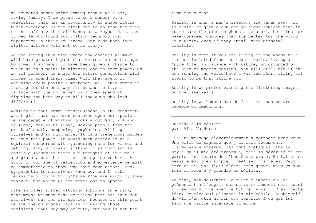an educated human being coming from a well-off, loving family. I am proud to be a member of a generation that has an opportunity to shape future human existence as the first one to go from the crib to the coffin with their hands on a keyboard, raised by people who found information technological dependence in their adulthood. Our kids born from digital natives will not be as lucky.

We are living in a time where the choices we make will have greater impact than we realize on the ages to come. I am happy to have been given a chance to exist at this point in history, and to have power, as we all possess, to shape how future generations will choose to spend their time. Will they spend it worrying about paying a mortgage? Will they spend it looking for the best way for humans to live in balance with the universe? Will they spend it figuring the best way to kill the guys who look different?

Reality is that human consciousness is the greatest, worst gift that has been bestowed upon our species. We are capable of writing books about God, killing billions, making billions, saving people from the brink of death, composing symphonies, killing ourselves and so much more. It is a tremendous burden to have this power. It would seem easier to be a squirrel concerned with gathering nuts for winter and getting laid, or grass, soaking up as much sun as possible (assuming those are thoughts of squirrels and grass), but that is not the option we have. As such, in our age of reflection and experience we must be sympathetic to those who have come before. And, sympathetic to ourselves, when we, and I, make decisions or think thoughts we know are wrong by some measure, but which we are powerless to oppose.

Like an older sister watching siblings in a park, that means we must make decisions best not just for ourselves, but for all species, because at this point we are the only ones capable of making those decisions. That boy may be cute, but now is not the

time for a chat.

Reality is when a man's freedoms are taken away, it is easier to grab a gun and go fight someone than it is to take the time to phone a senator's hot line, or make consumer choices that are better for the world as a whole, even if they entail some personal sacrifice.

Reality is even if you are living in the woods as a "tribe" isolated from the modern world, living a "pure life" in balance with nature, uncorrupted by the sins of modern mankind, you will still die if the men running the world have a war and start firing off atomic bombs that strike you.

Reality is we prefer watching the flickering images on the cave walls.

Reality is we humans can do far more than we are capable of imagining.

Du rêve à la réalité par, Afia VanHorne

J'ai un message d'avertissement à partager avec vous. Une offre de sagesse que j'ai reçu récemment. J'aimerais y enfermer des mots poétiques dans le style qu'il m'a été transmis, mais la sévérité de ces paroles ont besoin de l'honnêteté brute. En faite, ce message est bien simple : réaliser vos rêves. Peutêtre ça n'a pas l'air d'être très grave, mais ça vous fera du bien d'y prendre au sérieux.

Le rêve, non seulement le suite d'images qui se présentent à l'esprit durant votre sommeil mais aussi l'idée poursuivie avec le but de réussir. C'est cette idée, ce rêve qui alimente la vie réelle. L'objectif de vie d'un être humain est centrale à ce qui lui fait une partie intégrale du monde.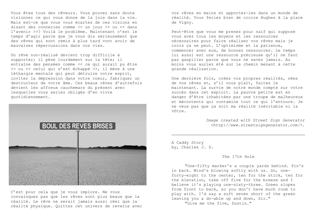Vous êtes tous des rêveurs. Vous pouvez sans doute visionner ce qui vous donne de la joie dans la vie. Mais est-ce que vous vous écartez de ces visions en disant des conneries comme << un jour >> ou << dans l'avenir >>? Voilà le problème. Maintenant c'est le temps d'agir parce que je vous dis sérieusement que des rêves qui sont remis à plus tard vont avoir de mauvaises répercussions dans vos vies.

Un rêve non-réalisé devient trop difficile à supporter; il pèse lourdement sur la tête; il entraîne des pensées comme << ce qui aurait pu être >> ou << celui qui s'est échappé >>, il mène à une léthargie mentale qui peut détruire votre esprit, inviter la dépression dans votre coeur, fabriquer un destructeur de votre âme. Ces beaux rêves d'autrefois devient les affreux cauchemars du présent avec lesquelles vous seriez obligés d'en vivre quotidiennement.



C'est pour cela que je vous implore. Ne vous convainquez pas que les rêves sont plus beaux que la réalité. Le rêve ne serait jamais aussi réel que la réalité physique. Quittez cet univers de reverie avec vos rêves en mains et apportez-les dans un monde de réalité. Vous feriez bien de croire Hughes à la place de Vigny.

Peut-être que vous me prenez pour naïf qui suppose vous avez tous les moyens et les ressources nécessaires pour faire réaliser vos rêves mais je crois ça se peut. L'optimisme et la patience, commencer avec eux, de bonnes ressoucres. Le temps lui aussi est une ressource précieuse qu'il ne faut pas gaspiller parce que vous ne savez jamais. Au moins vous auriez été sur le chemin menant à cette grande réalisation.

Une dernière fois, créez vos propres réalités, nées de vos rêves et, s'il vous plaît, faites le maintenant. La survie de notre monde compte sur votre succès dans cet exploit. La pauvre petite est en danger d'être inhabitées par une troupe de malheureux et mécontents qui contamine tout ce qui l'entoure. Je ne veux pas que ça soit ma réalité inévitable ni la vôtre.

> *Image created with Street Sign Generator <http://www.streetsigngenerator.com/>.*

A Caddy Story by, Charles J. D.

# The 17th Hole

"One-fifty marker's a couple yards behind. Pin's in back. Wind's blowing softly with us. So, oneforty-eight to the center, ten for the stick, ten for the elevation, take off five for the breeze and I believe it's playing one-sixty-three. Green slopes from front to back, so you don't have much room to play with. I'd say a soft seven short of the green leaving you a do-able up and down, Sir."

"Give me the five, Dustin."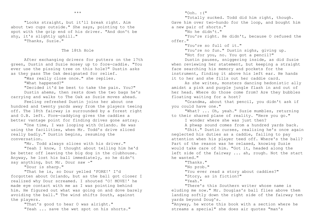"Looks straight, but it'll break right. Aim about two cups outside." She says, pointing to the spot with the grip end of his driver. "And don't be shy, it's slightly uphill."

"Thanks, Suzie."

# The 18th Hole

After exchanging drivers for putters on the 17th green, Dustin and Suzie mosey up to fore-caddie. "You ever use the pissing tree on this hole?" Dustin asks as they pass The Oak designated for relief.

"Was really close once." she replies.

"What happened?"

"Decided it'd be best to take the pain. You?" Dustin ahems, then rests down the two bags he's carrying and walks to The Oak as Suzie moves ahead.

Feeling refreshed Dustin joins her about one hundred and twenty yards away from the players teeing off. The 18th fairway is surrounded by a forest right and O.B. left. Fore-caddying gives the caddies a better vantage point for finding drives gone astray.

"One time, I was looping with Orlando. He was using the facilities, when Mr. Todd's drive sliced really badly." Dustin begins, resuming the conversation.

"Mr. Todd always slices with his driver."

"Yeah I know, I thought about telling him he'd be better off leaving the big dog in the clubhouse. Anyway, he lost his ball immediately, so he didn't say anything, but Mr. Dour saw -"

"Dour is sharp."

"That he is, so Dour yelled 'FORE!' I'd forgotten about Orlando, but as the ball got closer I realized why Dour screamed. I shouted 'O! MOVE!' he made eye contact with me as I was pointing behind him. He figured out what was going on and dove barely avoiding the ball." The wind shifts South, against the players.

> "That's good to hear O was alright." "Yeah ... save the wet spot on his shorts."

 $"$ Ooh. : $($ "

"Totally sucked. Todd did him right, though.

Gave him over two-hundo for the loop, and bought him a new pair of shorts."

"No he didn't."

"You're right. He didn't, because O refused the offer."

"You're so full of it."

"You're no fun." Dustin sighs, giving up.

"Not for you, no. You got a pencil?"

Dustin pauses, sniggering inside, as did Suzie when reviewing her statement, but keeping a straight face searching his memory and pockets for the instrument, finding it above his left ear. He hands it to her and she fills out her caddie card.

As she writes, monsters dancing hedonistic ally amidst a pink and purple jungle flash in and out of her head. Where do those come from? Are they bubbles floating waiting for a host?

"Grandma, about that pencil, you didn't ask if you could have one."

"What? ... Oh, yeah." Suzie mumbles, returning to their shared plane of reality. "Here you go."

I wonder where she was just then?

A phwap sound comes from a hundred yards back.

"Shit." Dustin curses, realizing he's once again neglected his duties as a caddie, failing to pay attention when his player teed off. Where's the ball? Part of the reason was he relaxed, knowing Suzie would take care of him. "Got it, headed along the left side of the fairway ... ah, rough. Not the start he wanted."

"Thanks."

"No prob."

"You ever read a story about caddies?"

"Story, as in fiction?"

"Yeah."

"There's this Southern writer whose name is eluding me now." Mr. Douglas's ball flies above them landing softly down the right side of the fairway ten yards beyond Doug's.

"Anyway, he wrote this book with a section where he streams a special" she does air quotes "man's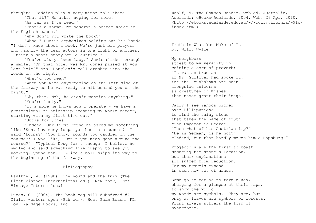thoughts. Caddies play a very minor role there." "That it?" He asks, hoping for more.

"As far as I've read."

"That's a shame. We deserve a better voice in the English canon."

"Why don't you write the book?"

"Whoa." Dustin emphasizes holding out his hands. "I don't know about a book. We're just bit players who magnify the lead actors in one light or another. I think a short story would suffice."

"You've always been lazy." Suzie chides through a smile. "On that note, was Mr. Jones pissed at you last hole?" Mrs. Douglas's ball crashes into the woods on the right.

"What'd you mean?"

"When you were daydreaming on the left side of the fairway as he was ready to hit behind you on the right."

> "Oh, that. Nah, he didn't mention anything." "You're lucky."

"It's more he knows how I operate - we have a professional relationship spanning my whole career, starting with my first time out."

"Sucks for Jones."

"Indeed. Our first round he asked me something like 'Son, how many loops you had this summer?' I said 'Loops?' 'You know, rounds you caddied on the course?' I was like, 'Don't you mean gone around the course?" "Typical Doug form, though, I believe he smiled and said something like 'Happy to see you working, young man.'" Alice's ball skips its way to the beginning of the fairway.

# Bibliography

Faulkner, W. (1990). The sound and the fury (The First Vintage International ed.). New York, NY: Vintage International

Lucas, G. (2004). The book cog hill dubsdread #4: Cialis western open (9th ed.). West Palm Beach, FL: Tour Yardage Books, Inc.

Woolf, V. The Common Reader. web ed. Australia, Adelaide: eBooks@Adelaide, 2004. Web. 26 Apr. 2010. <http://ebooks.adelaide.edu.au/w/woolf/virginia/w91c/ index.html>.

Truth is What You Make of It by, Willy Wylie

My neighbors attest to my veracity in coining a sort of proverb: "It was as true as if Mr. Gulliver had spoke it." Yet the Houyhnhnms are seen alongside unicorns as creatures of Wishes that never grant their image.

Daily I see Yahoos bicker over Lilliputians to find the shiny stone that takes the name of truth. "The Emperor is George I!" "Then what of his Austrian lip?" "He is German, is he not?" "Indeed, but that hardly makes him a Hapsburg!"

Projectors are the first to boast deducing the stone's location, but their explanations all suffer from reduction. For my travels expand in each new set of hands.

Some go so far as to form a key, charging for a glimpse at their maps, to show the world my words are symbols. They are, but only as leaves are symbols of forests. Print always suffers the form of synecdoche.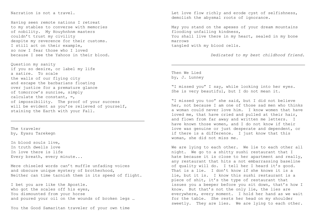# Narration is not a travel.

Having seen remote nations I retreat to my stables to converse with memories of nobility. My Houyhnhnm masters couldn't trust my civility despite my reverence for their customs. I still act on their example, so now I fear those who I loved because I see the Yahoos in their blood.

Question my sanity if you so desire, or label my life a satire. To scale the walls of our flying city and escape the barbarians floating over justice for a premature glance of tomorrow's sunrise, simply calculate the constant, ∞, of impossibility. The proof of your success will be evident as you're relieved of yourself, staining the Earth with your Fall.

The traveler by, Eyasu Tarekegn

In blood souls live, In truth dwells love In love there is life Every breath, every minute...

Mere chiseled words can't muffle unfading voices and obscure unique mystery of brotherhood, Neither can time tarnish them in its speed of flight.

I bet you are like the Apostle. who got the scales off his eyes, You dismounted from your horse and poured your oil on the wounds of broken legs …

You the Good Samaritan traveler of your own time

Let love flow richly and erode cyst of selfishness, demolish the abysmal roots of ignorance.

May you stand on the apexes of your dream mountains flooding unfailing kindness, You shall live there in my heart, sealed in my bone marrows tangled with my blood cells.

*Dedicated to my best childhood friend.*

Then We Lied by, J. Lunney

"I missed you" I say, while looking into her eyes. She is very beautiful, but I do not mean it.

"I missed you too" she said, but I did not believe her, not because I am one of those sad men who thinks a woman could never love him. I know women that have loved me, that have cried and pulled at their hair, and flown from far away and written me letters. I have known those women, and I do not know if their love was genuine or just desperate and dependent, or if there is a difference. I just know that this woman, she did not miss me.

We are lying to each other. We lie to each other all night. We go to a shitty sushi restaurant that I hate because it is close to her apartment and really, any restaurant that hits a not embarrassing baseline of quality will do. I tell her I heard it's good. That is a lie. I don't know if she knows it is a lie, but it is. I know this sushi restaurant is a piece of shit, it's the type of restaurant that issues you a beeper before you sit down, that's how I know. But that's not the only lie, the lies are everywhere, every moment. I hold her hand as we wait for the table. She rests her head on my shoulder sweetly. They are lies. We are lying to each other.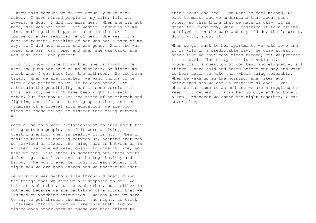I know this because we do not actually miss each other. I have missed people in my life; friends, lovers, a dog. I did not miss her. When she was not here, she was not here. She wasn't lingering in my mind, nothing that happened to me in the normal course of a day reminded me of her. She was not a part of routine, thinking of her was not a part of my day, so I did not notice she was gone. When she was gone, she was just gone, and when she was back, she was just here, and present.

I do not know if she knows that she is lying to me when she puts her head on my shoulder, or kisses my cheek when I get back from the bathroom. We are both tired. When we are together, we want things to be simple and perfect so we lie to each other. We entertain the possibility that in some version of this reality, we might have been right for each other, but for now we are too tired of heartbreak and fighting and life not stacking up to the grandiose promises of a liberal arts education, we are too tired of these things to dissect this thing between us.

People use this word "relationship" to talk about the thing between people, as if it were a living, breathing entity when in reality it is not. When in reality there is nothing between us, nothing that can be serviced or fixed, the thing that is between us is another lie labeled relationship to give it life, so that we feel like there is something out there worth defending, that lives and can be kept healthy and happy. We won't ever be right for each other, but right now we are good enough and we understand that.

We work our way methodically through dinner, doing the things that we know we are supposed to do. We talk at each other, not to each other, but neither is bothered because we are partaking of a ritual that we learned by watching television. We say what we have to say to get through the meal, the night, to trick ourselves into thinking we like this sushi and we missed each other because those are nice things to

think about and feel. We want to feel missed, we want to miss, and we understand that about each other, so this thing that we have is okay, it is great for right now, when I describe it to a friend he slaps me on the back and says "dude, that's great, don't worry about it."

When we got back to her apartment, we make love and it is wild in a predictable way. We claw at each other like we have many times before, but we pretend it is novel. The dirty talk is functional, procedural, a question of courtesy and etiquette, all things I have said and heard before but say and want to hear again to make this whole thing tolerable. When we wake up in the morning, she makes egg sandwiches and we eat in relative silence. The charade has come to an end and we are struggling to keep it together. I kiss her goodbye and go home to sleep. Whenever we spend the night together, I can never sleep.